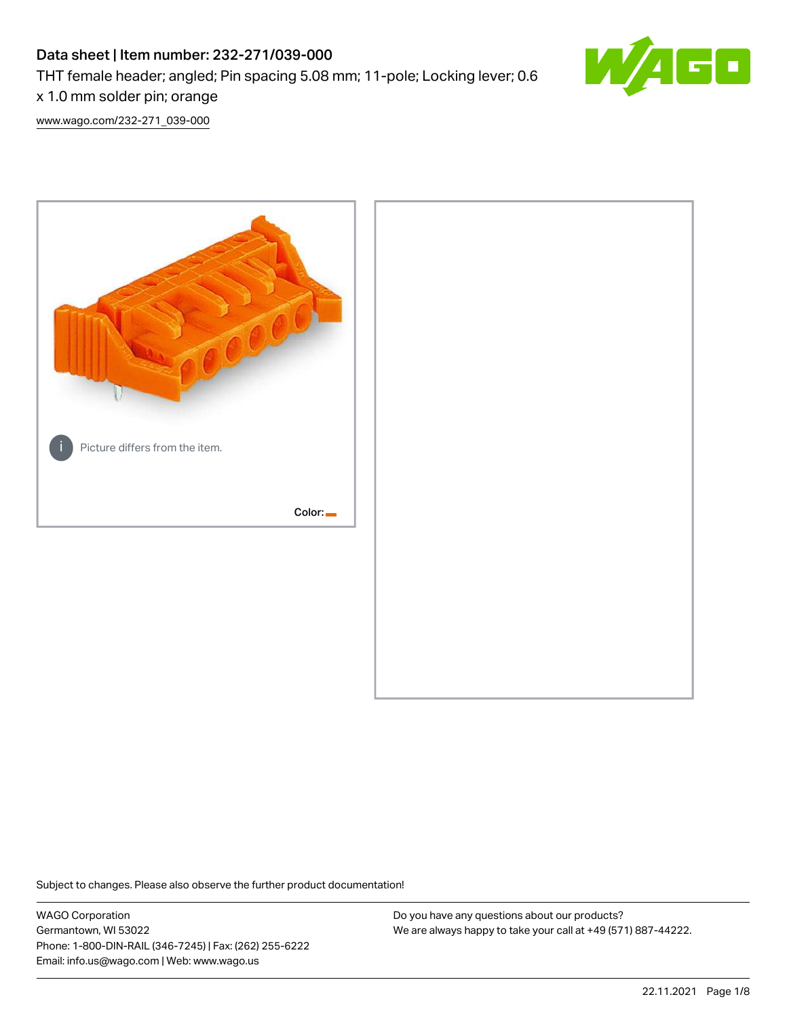# Data sheet | Item number: 232-271/039-000 THT female header; angled; Pin spacing 5.08 mm; 11-pole; Locking lever; 0.6



x 1.0 mm solder pin; orange [www.wago.com/232-271\\_039-000](http://www.wago.com/232-271_039-000)



Subject to changes. Please also observe the further product documentation!

WAGO Corporation Germantown, WI 53022 Phone: 1-800-DIN-RAIL (346-7245) | Fax: (262) 255-6222 Email: info.us@wago.com | Web: www.wago.us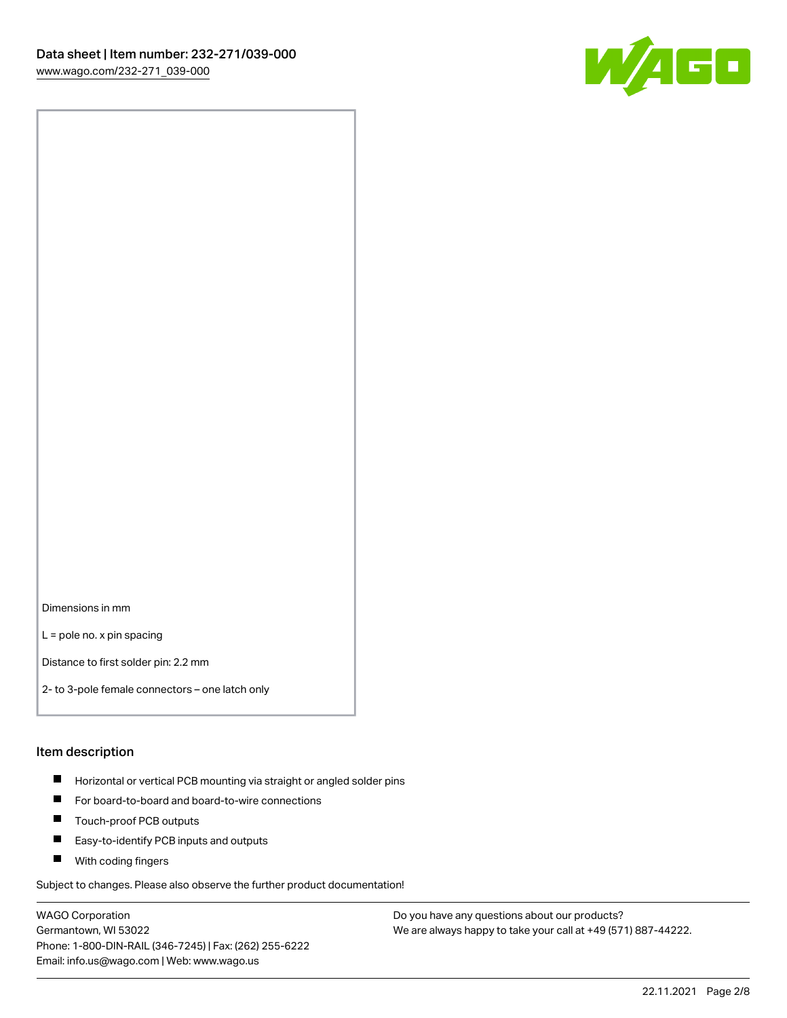

Dimensions in mm

L = pole no. x pin spacing

Distance to first solder pin: 2.2 mm

2- to 3-pole female connectors – one latch only

#### Item description

- **Horizontal or vertical PCB mounting via straight or angled solder pins**
- For board-to-board and board-to-wire connections
- $\blacksquare$ Touch-proof PCB outputs
- $\blacksquare$ Easy-to-identify PCB inputs and outputs
- **Now With coding fingers**

Subject to changes. Please also observe the further product documentation!

WAGO Corporation Germantown, WI 53022 Phone: 1-800-DIN-RAIL (346-7245) | Fax: (262) 255-6222 Email: info.us@wago.com | Web: www.wago.us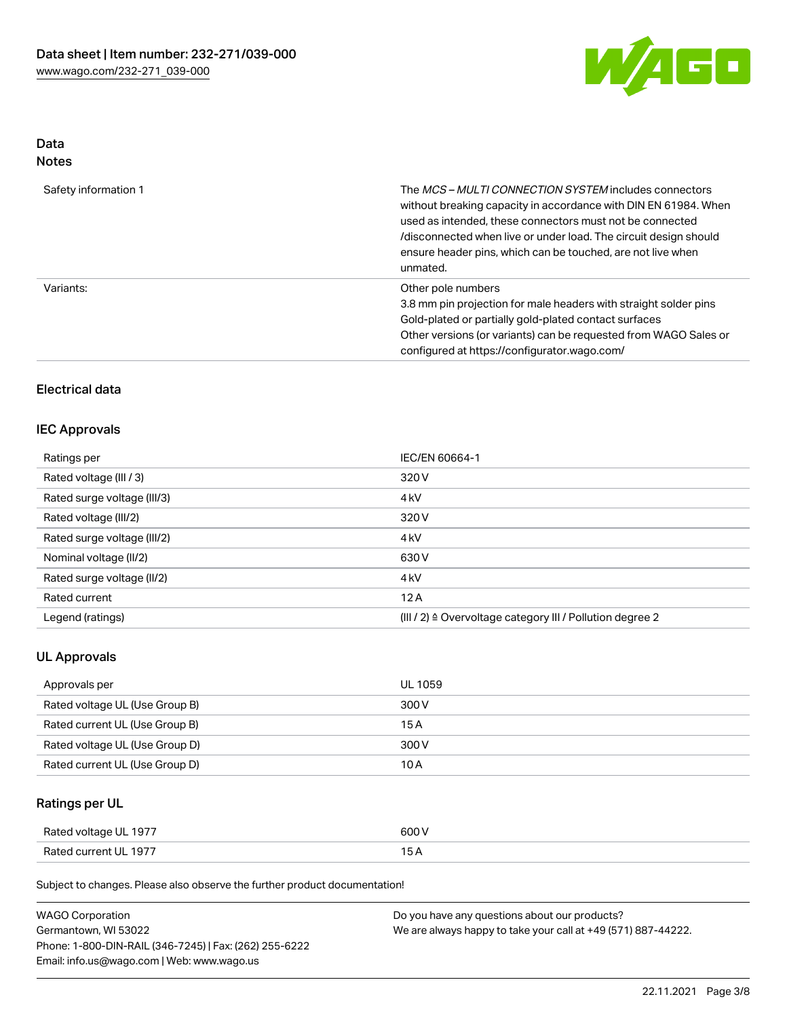

# Data

| Safety information 1 | The <i>MCS – MULTI CONNECTION SYSTEM</i> includes connectors<br>without breaking capacity in accordance with DIN EN 61984. When<br>used as intended, these connectors must not be connected<br>/disconnected when live or under load. The circuit design should<br>ensure header pins, which can be touched, are not live when<br>unmated. |
|----------------------|--------------------------------------------------------------------------------------------------------------------------------------------------------------------------------------------------------------------------------------------------------------------------------------------------------------------------------------------|
| Variants:            | Other pole numbers<br>3.8 mm pin projection for male headers with straight solder pins<br>Gold-plated or partially gold-plated contact surfaces<br>Other versions (or variants) can be requested from WAGO Sales or<br>configured at https://configurator.wago.com/                                                                        |

# Electrical data

## IEC Approvals

| Ratings per                 | IEC/EN 60664-1                                                       |
|-----------------------------|----------------------------------------------------------------------|
| Rated voltage (III / 3)     | 320 V                                                                |
| Rated surge voltage (III/3) | 4 <sub>k</sub> V                                                     |
| Rated voltage (III/2)       | 320 V                                                                |
| Rated surge voltage (III/2) | 4 <sub>k</sub> V                                                     |
| Nominal voltage (II/2)      | 630 V                                                                |
| Rated surge voltage (II/2)  | 4 <sub>k</sub> V                                                     |
| Rated current               | 12A                                                                  |
| Legend (ratings)            | (III / 2) $\triangleq$ Overvoltage category III / Pollution degree 2 |

## UL Approvals

| Approvals per                  | UL 1059 |
|--------------------------------|---------|
| Rated voltage UL (Use Group B) | 300 V   |
| Rated current UL (Use Group B) | 15 A    |
| Rated voltage UL (Use Group D) | 300 V   |
| Rated current UL (Use Group D) | 10 A    |

# Ratings per UL

| Rated voltage UL 1977 | 600 V |
|-----------------------|-------|
| Rated current UL 1977 |       |

Subject to changes. Please also observe the further product documentation!

| <b>WAGO Corporation</b>                                | Do you have any questions about our products?                 |
|--------------------------------------------------------|---------------------------------------------------------------|
| Germantown, WI 53022                                   | We are always happy to take your call at +49 (571) 887-44222. |
| Phone: 1-800-DIN-RAIL (346-7245)   Fax: (262) 255-6222 |                                                               |
| Email: info.us@wago.com   Web: www.wago.us             |                                                               |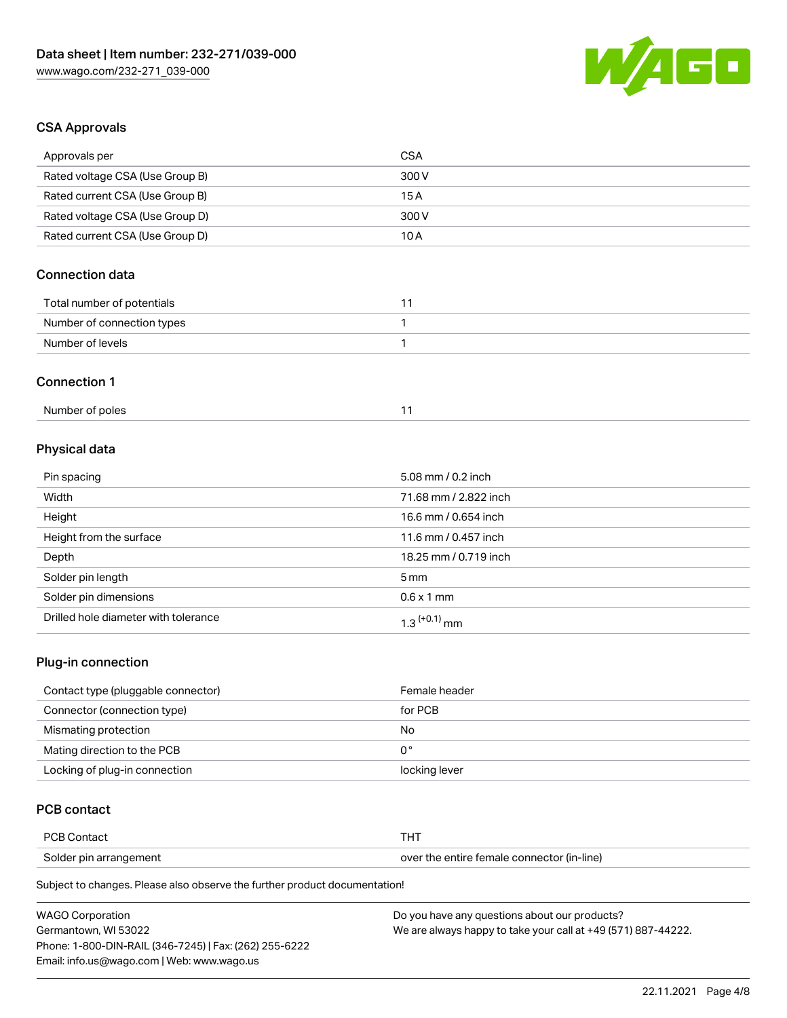

# CSA Approvals

| Approvals per                   | <b>CSA</b>         |
|---------------------------------|--------------------|
| Rated voltage CSA (Use Group B) | 300V               |
| Rated current CSA (Use Group B) | 15A                |
| Rated voltage CSA (Use Group D) | 300 V              |
| Rated current CSA (Use Group D) | 10A                |
| <b>Connection data</b>          |                    |
| Total number of potentials      | 11                 |
| Number of connection types      | 1                  |
| Number of levels                | 1                  |
| <b>Connection 1</b>             |                    |
| Number of poles                 | 11                 |
| Physical data                   |                    |
| Pin spacing                     | 5.08 mm / 0.2 inch |

| Width                                | 71.68 mm / 2.822 inch      |
|--------------------------------------|----------------------------|
| Height                               | 16.6 mm / 0.654 inch       |
| Height from the surface              | 11.6 mm / 0.457 inch       |
| Depth                                | 18.25 mm / 0.719 inch      |
| Solder pin length                    | 5 mm                       |
| Solder pin dimensions                | $0.6 \times 1$ mm          |
| Drilled hole diameter with tolerance | $1.3$ <sup>(+0.1)</sup> mm |

# Plug-in connection

| Contact type (pluggable connector) | Female header |
|------------------------------------|---------------|
| Connector (connection type)        | for PCB       |
| Mismating protection               | No            |
| Mating direction to the PCB        | 0°            |
| Locking of plug-in connection      | locking lever |

# PCB contact

| <b>PCB Contact</b>     |                                            |
|------------------------|--------------------------------------------|
| Solder pin arrangement | over the entire female connector (in-line) |

Subject to changes. Please also observe the further product documentation!

| <b>WAGO Corporation</b>                                | Do you have any questions about our products?                 |
|--------------------------------------------------------|---------------------------------------------------------------|
| Germantown. WI 53022                                   | We are always happy to take your call at +49 (571) 887-44222. |
| Phone: 1-800-DIN-RAIL (346-7245)   Fax: (262) 255-6222 |                                                               |
| Email: info.us@wago.com   Web: www.wago.us             |                                                               |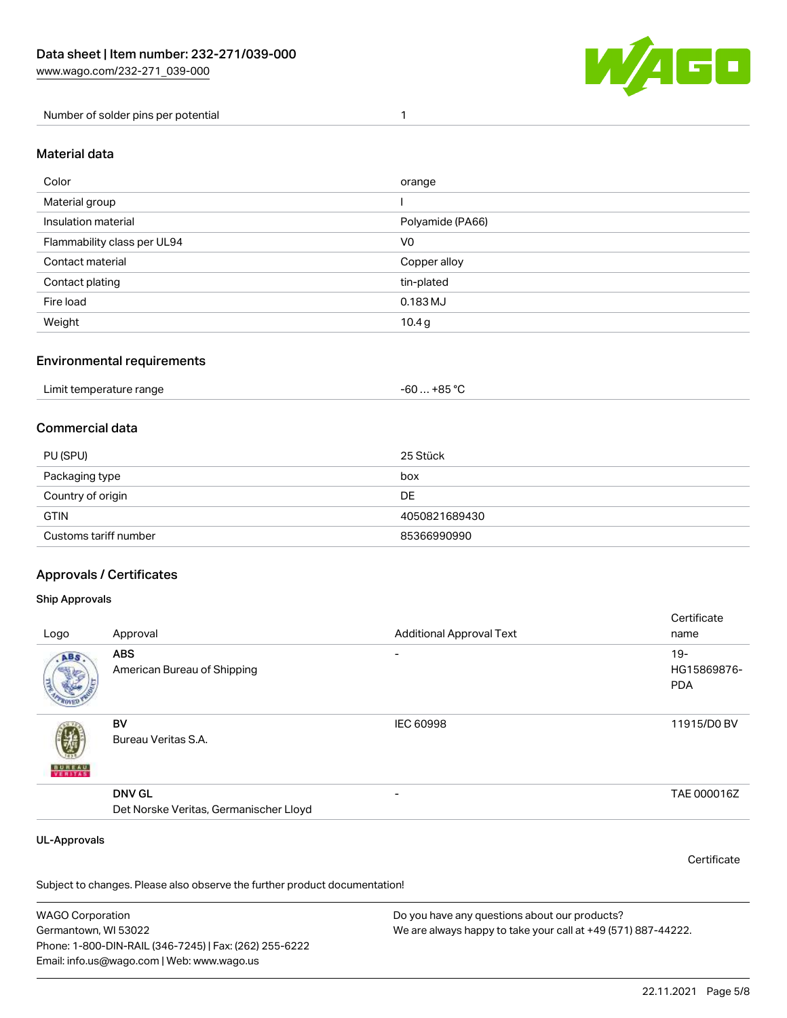

Number of solder pins per potential 1

#### Material data

| Color                       | orange           |
|-----------------------------|------------------|
| Material group              |                  |
| Insulation material         | Polyamide (PA66) |
| Flammability class per UL94 | V <sub>0</sub>   |
| Contact material            | Copper alloy     |
| Contact plating             | tin-plated       |
| Fire load                   | 0.183 MJ         |
| Weight                      | 10.4 g           |

### Environmental requirements

| Limit temperature range<br>. | ∴ +85 °ົ<br>-60 |  |
|------------------------------|-----------------|--|
|------------------------------|-----------------|--|

## Commercial data

| PU (SPU)              | 25 Stück      |
|-----------------------|---------------|
| Packaging type        | box           |
| Country of origin     | DE            |
| <b>GTIN</b>           | 4050821689430 |
| Customs tariff number | 85366990990   |

## Approvals / Certificates

#### Ship Approvals

| Logo                | Approval                               | <b>Additional Approval Text</b> | Certificate<br>name |
|---------------------|----------------------------------------|---------------------------------|---------------------|
|                     | <b>ABS</b>                             | $\overline{\phantom{0}}$        | $19-$               |
| ABS.                | American Bureau of Shipping            |                                 | HG15869876-         |
|                     |                                        |                                 | <b>PDA</b>          |
|                     | BV                                     | <b>IEC 60998</b>                | 11915/D0 BV         |
|                     | Bureau Veritas S.A.                    |                                 |                     |
| <b>BUREAU</b>       |                                        |                                 |                     |
|                     | <b>DNV GL</b>                          | $\overline{\phantom{0}}$        | TAE 000016Z         |
|                     | Det Norske Veritas, Germanischer Lloyd |                                 |                     |
|                     |                                        |                                 |                     |
| <b>UL-Approvals</b> |                                        |                                 | Certificate         |
|                     |                                        |                                 |                     |

Subject to changes. Please also observe the further product documentation!

WAGO Corporation Germantown, WI 53022 Phone: 1-800-DIN-RAIL (346-7245) | Fax: (262) 255-6222 Email: info.us@wago.com | Web: www.wago.us Do you have any questions about our products? We are always happy to take your call at +49 (571) 887-44222.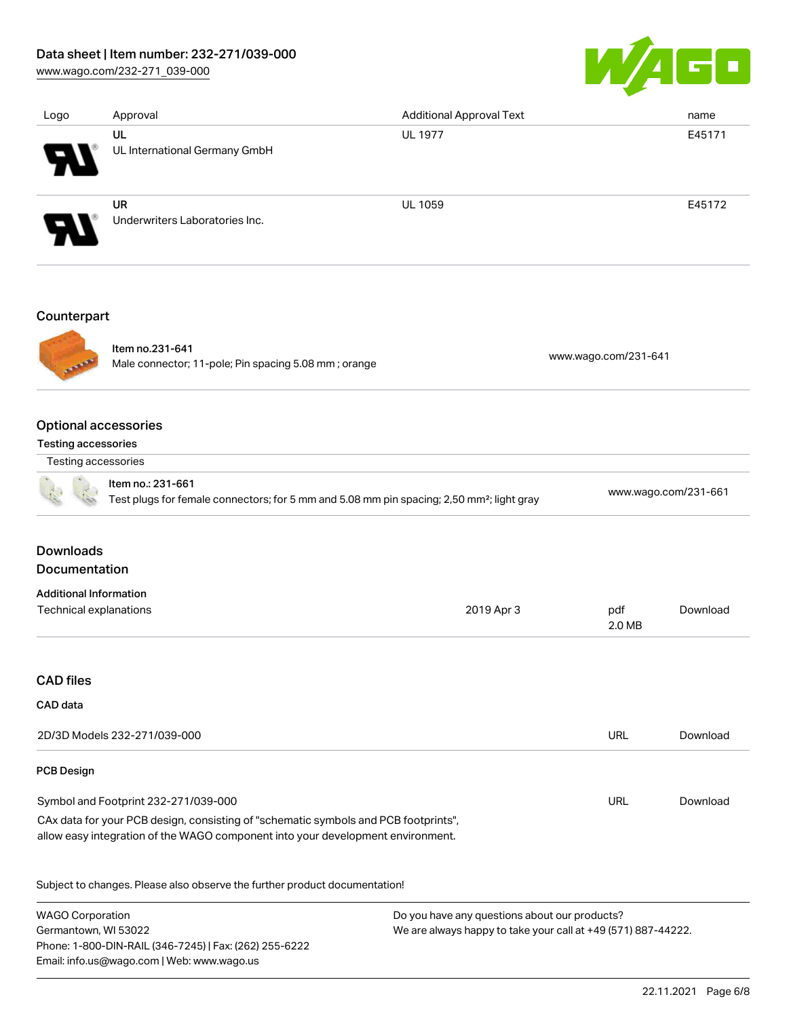## Data sheet | Item number: 232-271/039-000

[www.wago.com/232-271\\_039-000](http://www.wago.com/232-271_039-000)



| Logo                          | Approval                                                                                                                   | <b>Additional Approval Text</b> | name                      |
|-------------------------------|----------------------------------------------------------------------------------------------------------------------------|---------------------------------|---------------------------|
|                               | UL<br>UL International Germany GmbH                                                                                        | <b>UL 1977</b>                  | E45171                    |
|                               | <b>UR</b><br>Underwriters Laboratories Inc.                                                                                | <b>UL 1059</b>                  | E45172                    |
| Counterpart                   |                                                                                                                            |                                 |                           |
|                               | Item no.231-641<br>Male connector; 11-pole; Pin spacing 5.08 mm; orange                                                    |                                 | www.wago.com/231-641      |
| Testing accessories           | <b>Optional accessories</b>                                                                                                |                                 |                           |
| Testing accessories           |                                                                                                                            |                                 |                           |
|                               | Item no.: 231-661<br>Test plugs for female connectors; for 5 mm and 5.08 mm pin spacing; 2,50 mm <sup>2</sup> ; light gray |                                 | www.wago.com/231-661      |
| <b>Downloads</b>              |                                                                                                                            |                                 |                           |
| Documentation                 |                                                                                                                            |                                 |                           |
| <b>Additional Information</b> |                                                                                                                            |                                 |                           |
| Technical explanations        |                                                                                                                            | 2019 Apr 3                      | pdf<br>Download<br>2.0 MB |

#### CAD files

#### CAD data

| 2D/3D Models 232-271/039-000                                                                                                                                           | URL | Download |
|------------------------------------------------------------------------------------------------------------------------------------------------------------------------|-----|----------|
| <b>PCB Design</b>                                                                                                                                                      |     |          |
| Symbol and Footprint 232-271/039-000                                                                                                                                   | URL | Download |
| CAx data for your PCB design, consisting of "schematic symbols and PCB footprints",<br>allow easy integration of the WAGO component into your development environment. |     |          |

Subject to changes. Please also observe the further product documentation!

WAGO Corporation Germantown, WI 53022 Phone: 1-800-DIN-RAIL (346-7245) | Fax: (262) 255-6222 Email: info.us@wago.com | Web: www.wago.us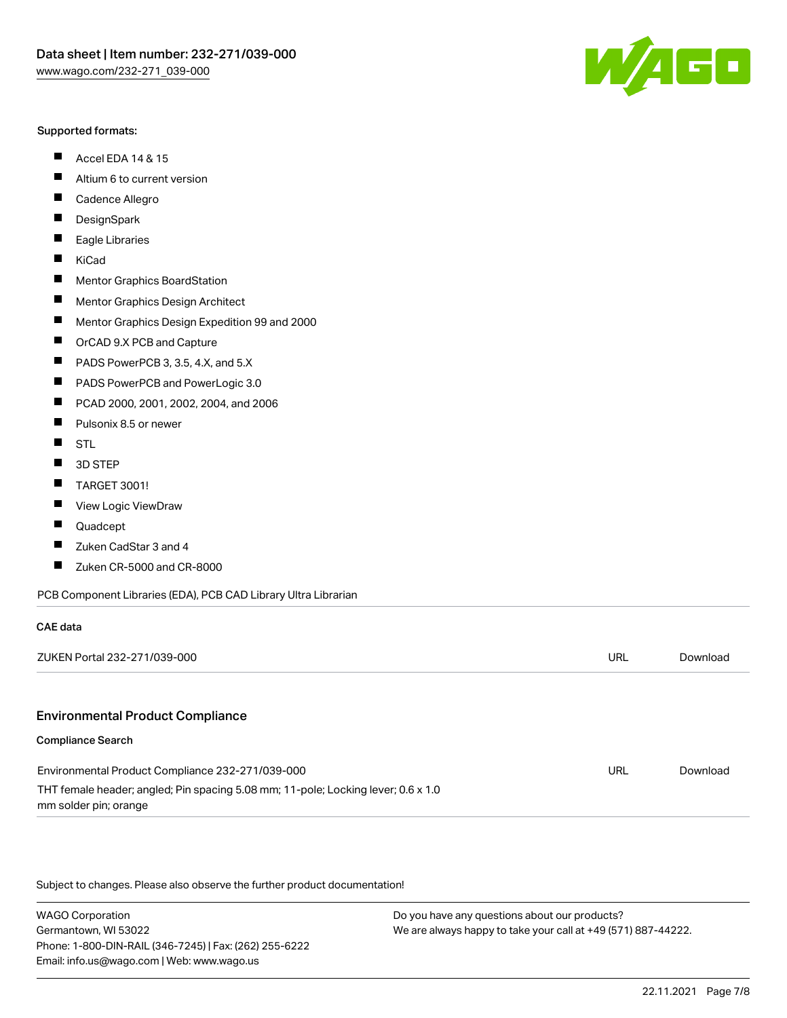#### Supported formats:

- $\blacksquare$ Accel EDA 14 & 15
- $\blacksquare$ Altium 6 to current version
- $\blacksquare$ Cadence Allegro
- $\blacksquare$ **DesignSpark**
- $\blacksquare$ Eagle Libraries
- $\blacksquare$ KiCad
- $\blacksquare$ Mentor Graphics BoardStation
- $\blacksquare$ Mentor Graphics Design Architect
- $\blacksquare$ Mentor Graphics Design Expedition 99 and 2000
- $\blacksquare$ OrCAD 9.X PCB and Capture
- $\blacksquare$ PADS PowerPCB 3, 3.5, 4.X, and 5.X
- $\blacksquare$ PADS PowerPCB and PowerLogic 3.0
- $\blacksquare$ PCAD 2000, 2001, 2002, 2004, and 2006
- $\blacksquare$ Pulsonix 8.5 or newer
- $\blacksquare$ STL
- 3D STEP П
- П TARGET 3001!
- $\blacksquare$ View Logic ViewDraw
- П Quadcept
- Zuken CadStar 3 and 4  $\blacksquare$
- Zuken CR-5000 and CR-8000 П

#### PCB Component Libraries (EDA), PCB CAD Library Ultra Librarian

| CAE data                                                                                                   |     |          |
|------------------------------------------------------------------------------------------------------------|-----|----------|
| ZUKEN Portal 232-271/039-000                                                                               | URL | Download |
|                                                                                                            |     |          |
| <b>Environmental Product Compliance</b>                                                                    |     |          |
| <b>Compliance Search</b>                                                                                   |     |          |
| Environmental Product Compliance 232-271/039-000                                                           | URL | Download |
| THT female header; angled; Pin spacing 5.08 mm; 11-pole; Locking lever; 0.6 x 1.0<br>mm solder pin; orange |     |          |

Subject to changes. Please also observe the further product documentation!

WAGO Corporation Germantown, WI 53022 Phone: 1-800-DIN-RAIL (346-7245) | Fax: (262) 255-6222 Email: info.us@wago.com | Web: www.wago.us